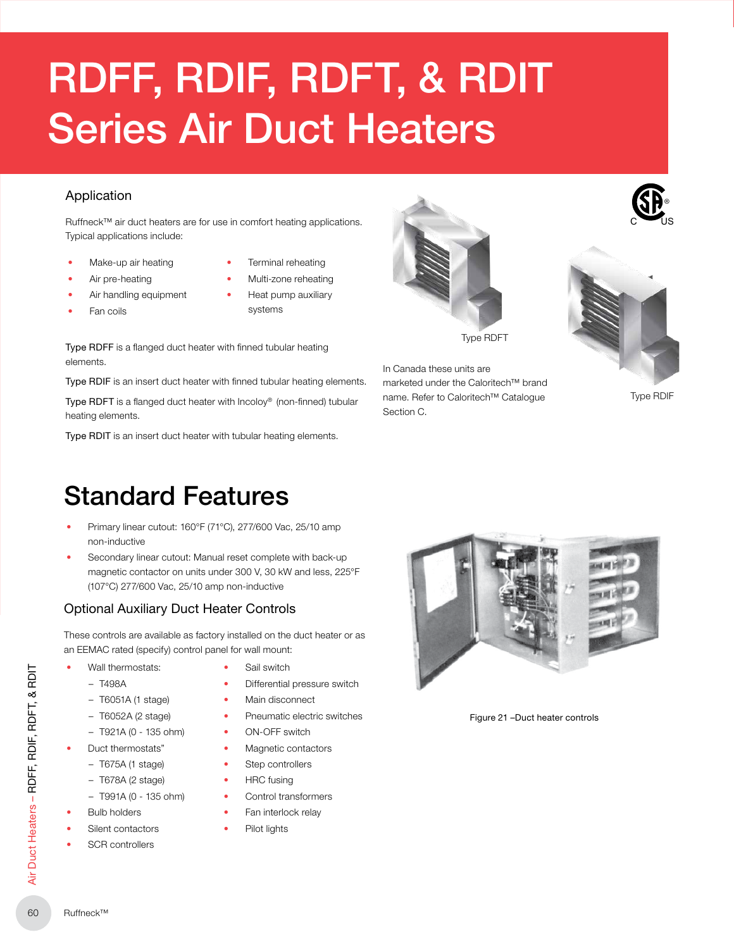# RDFF, RDIF, RDFT, & RDIT Series Air Duct Heaters

### Application

Ruffneck™ air duct heaters are for use in comfort heating applications. Typical applications include:

- Make-up air heating
- Terminal reheating

systems

- Air pre-heating
- Air handling equipment
- Fan coils

• Multi-zone reheating • Heat pump auxiliary

Type RDFF is a flanged duct heater with finned tubular heating elements.

Type RDIF is an insert duct heater with finned tubular heating elements.

Type RDFT is a flanged duct heater with Incoloy® (non-finned) tubular heating elements.

Type RDIT is an insert duct heater with tubular heating elements.

# Standard Features

- Primary linear cutout: 160°F (71°C), 277/600 Vac, 25/10 amp non‑inductive
- Secondary linear cutout: Manual reset complete with back-up magnetic contactor on units under 300 V, 30 kW and less, 225°F (107°C) 277/600 Vac, 25/10 amp non‑inductive

# Optional Auxiliary Duct Heater Controls

These controls are available as factory installed on the duct heater or as an EEMAC rated (specify) control panel for wall mount:

- Wall thermostats:
	- T498A
	- T6051A (1 stage)
	- T6052A (2 stage)
	- $-$  T921A (0 135 ohm)
- Duct thermostats"
	- T675A (1 stage)
	- T678A (2 stage)
	- $-$  T991A (0 135 ohm)
- **Bulb holders**
- Silent contactors
- SCR controllers
- Sail switch
- Differential pressure switch
- Main disconnect
- Pneumatic electric switches
- 
- Magnetic contactors
- Step controllers
- HRC fusing
- Control transformers
- Fan interlock relay
	- Pilot lights



In Canada these units are

Section C.

marketed under the Caloritech™ brand name. Refer to Caloritech™ Catalogue

Type RDFT

Figure 21 –Duct heater controls



Type RDIF

 $c - \nu s$ ®

- 
- 
- -
	- ON-OFF switch
- 
-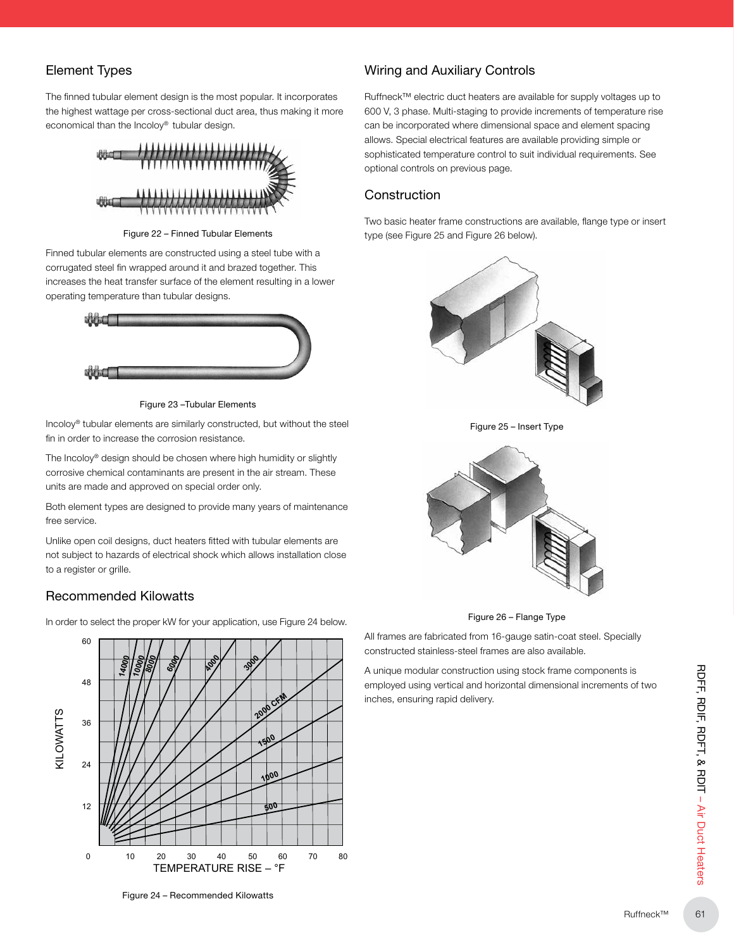## Element Types

The finned tubular element design is the most popular. It incorporates the highest wattage per cross-sectional duct area, thus making it more economical than the Incoloy® tubular design.



Figure 22 – Finned Tubular Elements

Finned tubular elements are constructed using a steel tube with a corrugated steel fin wrapped around it and brazed together. This increases the heat transfer surface of the element resulting in a lower operating temperature than tubular designs.



Figure 23 –Tubular Elements

Incoloy® tubular elements are similarly constructed, but without the steel fin in order to increase the corrosion resistance.

The Incoloy® design should be chosen where high humidity or slightly corrosive chemical contaminants are present in the air stream. These units are made and approved on special order only.

Both element types are designed to provide many years of maintenance free service.

Unlike open coil designs, duct heaters fitted with tubular elements are not subject to hazards of electrical shock which allows installation close to a register or grille.

#### Recommended Kilowatts

In order to select the proper kW for your application, use Figure 24 below.



#### Wiring and Auxiliary Controls

Ruffneck™ electric duct heaters are available for supply voltages up to 600 V, 3 phase. Multi-staging to provide increments of temperature rise can be incorporated where dimensional space and element spacing allows. Special electrical features are available providing simple or sophisticated temperature control to suit individual requirements. See optional controls on previous page.

#### **Construction**

Two basic heater frame constructions are available, flange type or insert type (see Figure 25 and Figure 26 below).



Figure 25 – Insert Type



Figure 26 – Flange Type

All frames are fabricated from 16-gauge satin-coat steel. Specially constructed stainless-steel frames are also available.

A unique modular construction using stock frame components is employed using vertical and horizontal dimensional increments of two inches, ensuring rapid delivery.